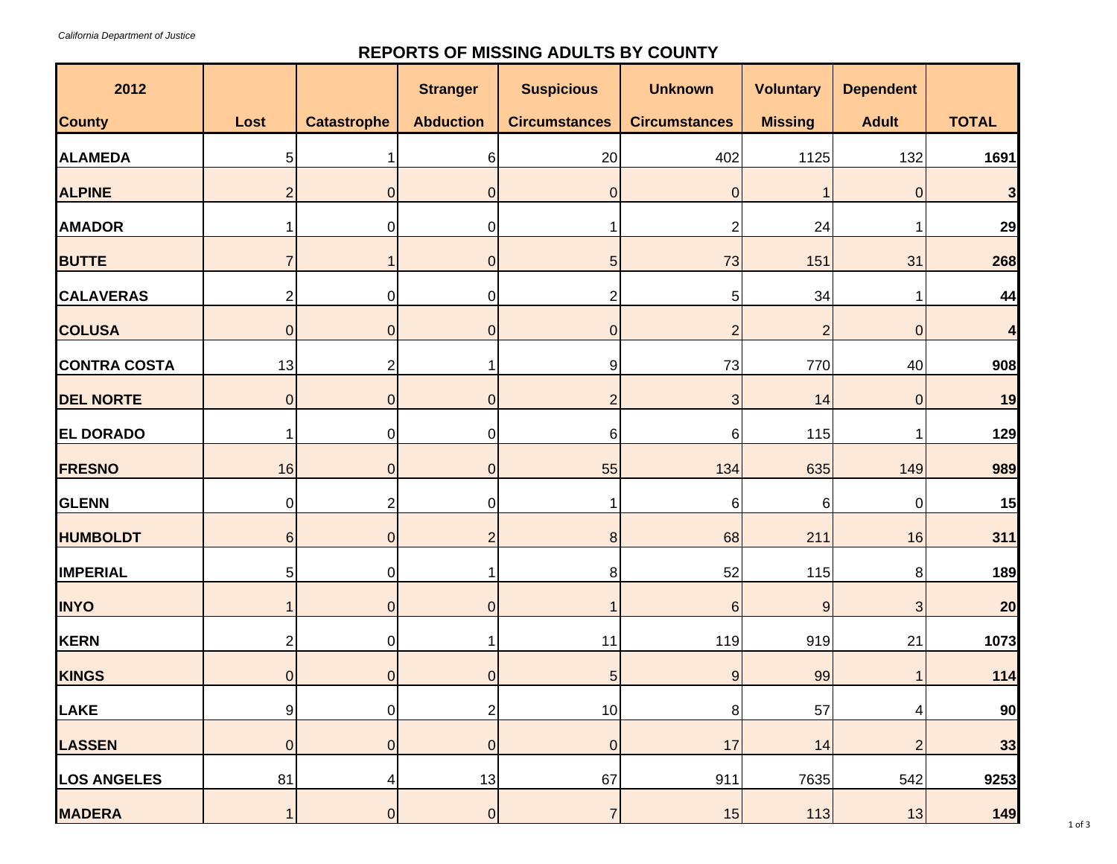## **REPORTS OF MISSING ADULTS BY COUNTY**

| 2012                |                |                    | <b>Stranger</b>  | <b>Suspicious</b>    | <b>Unknown</b>       | <b>Voluntary</b> | <b>Dependent</b> |              |
|---------------------|----------------|--------------------|------------------|----------------------|----------------------|------------------|------------------|--------------|
| <b>County</b>       | Lost           | <b>Catastrophe</b> | <b>Abduction</b> | <b>Circumstances</b> | <b>Circumstances</b> | <b>Missing</b>   | <b>Adult</b>     | <b>TOTAL</b> |
| <b>ALAMEDA</b>      | 5 <sup>1</sup> |                    | 6                | 20                   | 402                  | 1125             | 132              | 1691         |
| <b>ALPINE</b>       | $\overline{2}$ | $\overline{0}$     | $\overline{0}$   | $\boldsymbol{0}$     | $\mathbf 0$          |                  | $\mathbf 0$      | 3            |
| <b>AMADOR</b>       | 1              | $\pmb{0}$          | $\mathbf 0$      |                      | $\overline{2}$       | 24               |                  | 29           |
| <b>BUTTE</b>        | $\overline{7}$ | $\mathbf 1$        | $\overline{0}$   | 5                    | 73                   | 151              | 31               | 268          |
| <b>CALAVERAS</b>    | $\overline{a}$ | $\mathbf 0$        | $\overline{0}$   | 2                    | 5                    | 34               |                  | 44           |
| <b>COLUSA</b>       | $\overline{0}$ | $\overline{0}$     | $\overline{0}$   | $\boldsymbol{0}$     | $\overline{2}$       | $\overline{2}$   | $\overline{0}$   | 4            |
| <b>CONTRA COSTA</b> | 13             | $\overline{c}$     |                  | 9                    | 73                   | 770              | 40               | 908          |
| <b>DEL NORTE</b>    | $\overline{0}$ | $\overline{0}$     | $\overline{0}$   | $\overline{c}$       | $\mathbf{3}$         | 14               | $\overline{0}$   | 19           |
| <b>EL DORADO</b>    | $\mathbf{1}$   | $\overline{0}$     | $\overline{0}$   | $6 \mid$             | 6                    | 115              |                  | 129          |
| <b>FRESNO</b>       | 16             | $\overline{0}$     | $\overline{0}$   | 55                   | 134                  | 635              | 149              | 989          |
| <b>GLENN</b>        | 0              | $\overline{2}$     | 0                | 1                    | 6                    | 6                | 0                | 15           |
| <b>HUMBOLDT</b>     | $6 \mid$       | $\overline{0}$     | $\overline{2}$   | $\bf 8$              | 68                   | 211              | 16               | 311          |
| <b>IMPERIAL</b>     | 5 <sup>1</sup> | $\overline{0}$     |                  | 8 <sup>1</sup>       | 52                   | 115              | 8                | 189          |
| <b>INYO</b>         | 1              | $\overline{0}$     | $\overline{0}$   |                      | $6\phantom{1}6$      | $\overline{9}$   | 3                | 20           |
| <b>KERN</b>         | 2              | $\overline{0}$     |                  | 11                   | 119                  | 919              | 21               | 1073         |
| <b>KINGS</b>        | $\overline{0}$ | $\overline{0}$     | $\overline{0}$   |                      |                      |                  |                  | 114          |
|                     |                |                    |                  | $\overline{5}$       | $9\,$                | 99               |                  |              |
| <b>LAKE</b>         | 9 <sup>1</sup> | $\overline{0}$     | $\overline{2}$   | 10                   | 8                    | 57               | 4                | 90           |
| <b>LASSEN</b>       | $\overline{0}$ | $\overline{0}$     | $\overline{0}$   | $\pmb{0}$            | 17                   | 14               | $\overline{2}$   | 33           |
| <b>LOS ANGELES</b>  | 81             | 4                  | 13               | 67                   | 911                  | 7635             | 542              | 9253         |
| <b>MADERA</b>       | $\mathbf{1}$   | $\overline{0}$     | $\overline{0}$   | $\overline{7}$       | 15                   | 113              | 13               | 149          |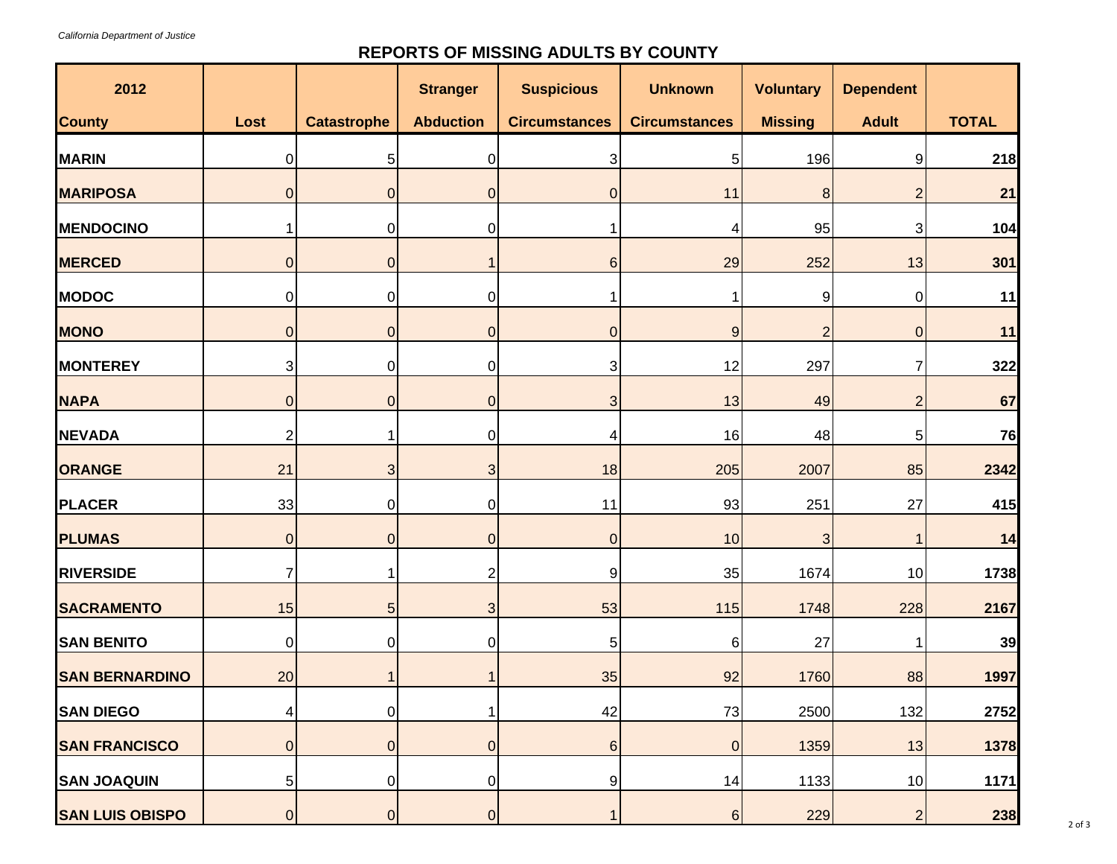## **REPORTS OF MISSING ADULTS BY COUNTY**

| 2012                   |                |                    | <b>Stranger</b>  | <b>Suspicious</b>    | <b>Unknown</b>       | <b>Voluntary</b> | <b>Dependent</b> |              |
|------------------------|----------------|--------------------|------------------|----------------------|----------------------|------------------|------------------|--------------|
| <b>County</b>          | Lost           | <b>Catastrophe</b> | <b>Abduction</b> | <b>Circumstances</b> | <b>Circumstances</b> | <b>Missing</b>   | <b>Adult</b>     | <b>TOTAL</b> |
| <b>MARIN</b>           | $\overline{0}$ | 5                  | 0                | 3                    | 5                    | 196              | 9                | 218          |
| <b>MARIPOSA</b>        | $\overline{0}$ | $\overline{0}$     | $\mathbf 0$      | $\overline{0}$       | 11                   | $\boldsymbol{8}$ | 2                | 21           |
| <b>MENDOCINO</b>       | 1              | $\pmb{0}$          | $\overline{0}$   |                      | 4                    | 95               | 3                | 104          |
| <b>MERCED</b>          | $\overline{0}$ | $\overline{0}$     |                  | 6                    | 29                   | 252              | 13               | 301          |
| <b>MODOC</b>           | $\overline{0}$ | $\pmb{0}$          | $\overline{0}$   |                      |                      | 9                | 0                | 11           |
| <b>MONO</b>            | $\overline{0}$ | $\overline{0}$     | $\overline{0}$   | $\overline{0}$       | $9$                  | $\overline{2}$   | $\mathbf{0}$     | 11           |
| <b>MONTEREY</b>        | $\mathfrak{S}$ | $\overline{0}$     | 0                | 3                    | 12                   | 297              |                  | 322          |
| <b>NAPA</b>            | $\overline{0}$ | $\overline{0}$     | $\overline{0}$   | 3                    | 13                   | 49               | 2                | 67           |
| <b>NEVADA</b>          | $\overline{2}$ | 1                  | $\overline{0}$   | 4                    | 16                   | 48               | 5                | 76           |
| ORANGE                 | 21             | 3 <sup>1</sup>     | 3                | 18                   | 205                  | 2007             | 85               | 2342         |
| <b>PLACER</b>          | 33             | $\pmb{0}$          | 0                | 11                   | 93                   | 251              | 27               | 415          |
| <b>PLUMAS</b>          | $\overline{0}$ | $\overline{0}$     | $\overline{0}$   | $\overline{0}$       | 10                   | 3                |                  | 14           |
| <b>RIVERSIDE</b>       | $\overline{7}$ | 1 <sup>1</sup>     | $\overline{2}$   | 9                    | 35                   | 1674             | 10               | 1738         |
| <b>SACRAMENTO</b>      | 15             | $5\overline{)}$    | 3                | 53                   | 115                  | 1748             | 228              | 2167         |
| <b>SAN BENITO</b>      | $\overline{0}$ | $\mathbf 0$        | $\overline{0}$   | 5                    | 6                    | 27               |                  | 39           |
| <b>SAN BERNARDINO</b>  | 20             | $\mathbf 1$        |                  | 35                   | 92                   | 1760             | 88               | 1997         |
| <b>SAN DIEGO</b>       | 4              | $\overline{0}$     | 1                | 42                   | 73                   | 2500             | 132              | 2752         |
| <b>SAN FRANCISCO</b>   | $\overline{0}$ | $\overline{0}$     | $\overline{0}$   | $6 \,$               | $\pmb{0}$            | 1359             | 13               | 1378         |
| <b>SAN JOAQUIN</b>     | 5 <sub>l</sub> | $\overline{0}$     | $\overline{0}$   | $\overline{9}$       | 14                   | 1133             | 10               | 1171         |
| <b>SAN LUIS OBISPO</b> | $\overline{0}$ | $\overline{0}$     | $\overline{0}$   | $\mathbf{1}$         | $6 \overline{6}$     | 229              | $\overline{2}$   | 238          |